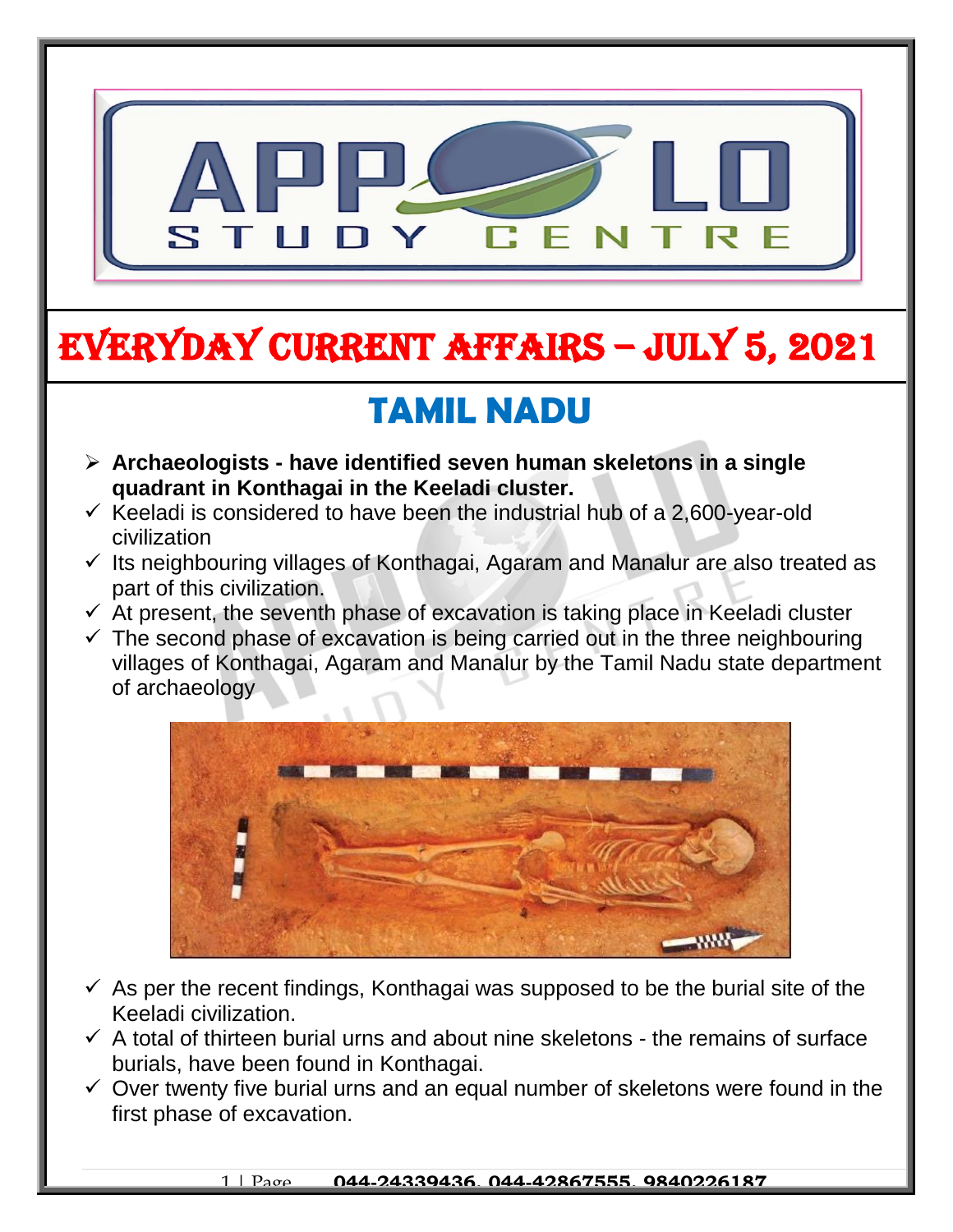

# EVERYDAY CURRENT AFFAIRS – jULY 5, 2021

# **TAMIL NADU**

 **Archaeologists - have identified seven human skeletons in a single quadrant in Konthagai in the Keeladi cluster.** 

-

- $\checkmark$  Keeladi is considered to have been the industrial hub of a 2,600-year-old civilization
- $\checkmark$  Its neighbouring villages of Konthagai, Agaram and Manalur are also treated as part of this civilization.
- $\checkmark$  At present, the seventh phase of excavation is taking place in Keeladi cluster
- $\checkmark$  The second phase of excavation is being carried out in the three neighbouring villages of Konthagai, Agaram and Manalur by the Tamil Nadu state department of archaeology



- $\checkmark$  As per the recent findings, Konthagai was supposed to be the burial site of the Keeladi civilization.
- $\checkmark$  A total of thirteen burial urns and about nine skeletons the remains of surface burials, have been found in Konthagai.
- $\checkmark$  Over twenty five burial urns and an equal number of skeletons were found in the first phase of excavation.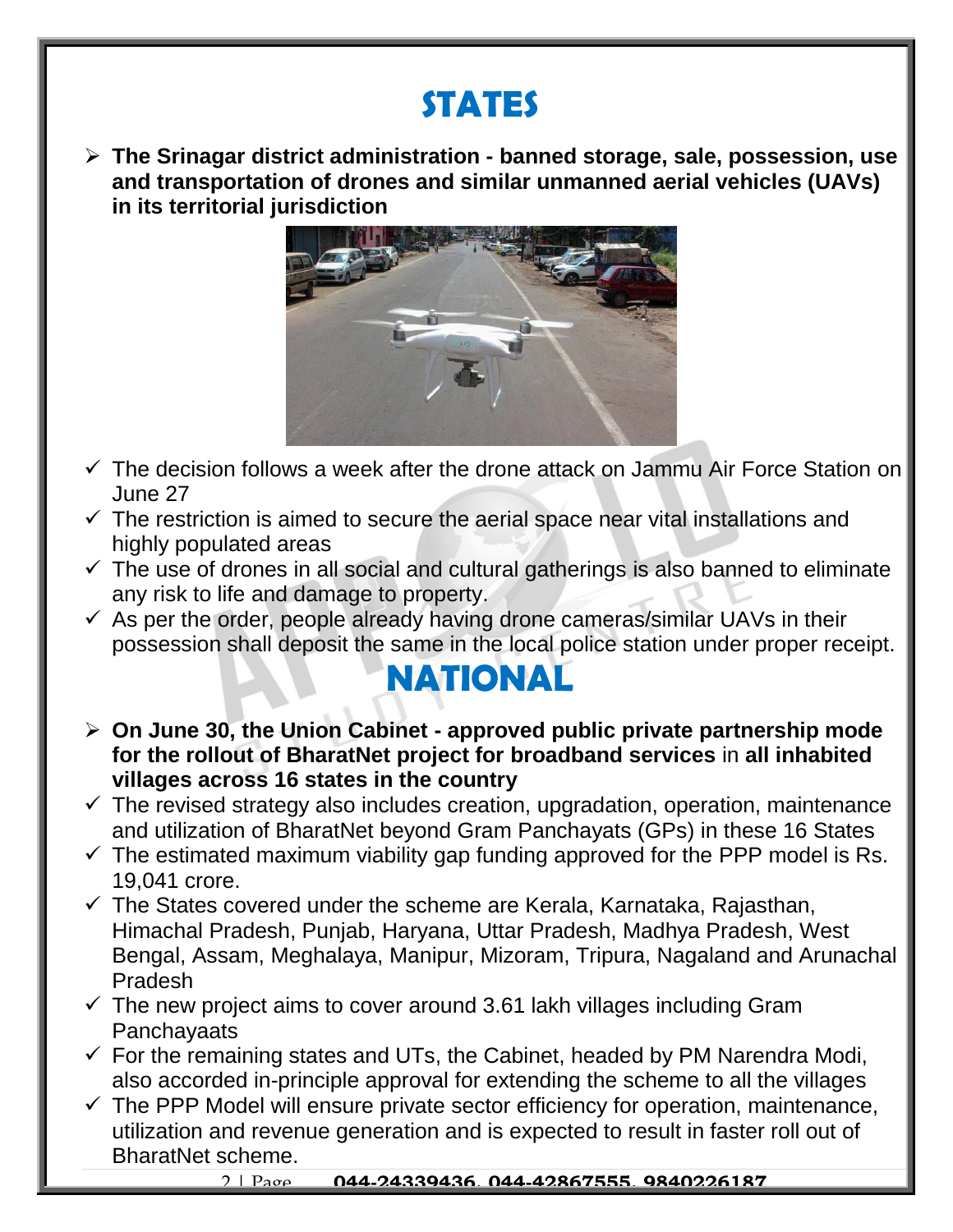## **STATES**

 **The Srinagar district administration - banned storage, sale, possession, use and transportation of drones and similar unmanned aerial vehicles (UAVs) in its territorial jurisdiction**



- $\checkmark$  The decision follows a week after the drone attack on Jammu Air Force Station on June 27
- $\checkmark$  The restriction is aimed to secure the aerial space near vital installations and highly populated areas
- $\checkmark$  The use of drones in all social and cultural gatherings is also banned to eliminate any risk to life and damage to property.
- $\checkmark$  As per the order, people already having drone cameras/similar UAVs in their possession shall deposit the same in the local police station under proper receipt.

### **NATIONAL**

- **On June 30, the Union Cabinet - approved public private partnership mode for the rollout of BharatNet project for broadband services** in **all inhabited villages across 16 states in the country**
- $\checkmark$  The revised strategy also includes creation, upgradation, operation, maintenance and utilization of BharatNet beyond Gram Panchayats (GPs) in these 16 States
- $\checkmark$  The estimated maximum viability gap funding approved for the PPP model is Rs. 19,041 crore.
- $\checkmark$  The States covered under the scheme are Kerala, Karnataka, Rajasthan, Himachal Pradesh, Punjab, Haryana, Uttar Pradesh, Madhya Pradesh, West Bengal, Assam, Meghalaya, Manipur, Mizoram, Tripura, Nagaland and Arunachal Pradesh
- $\checkmark$  The new project aims to cover around 3.61 lakh villages including Gram **Panchayaats**
- $\checkmark$  For the remaining states and UTs, the Cabinet, headed by PM Narendra Modi, also accorded in-principle approval for extending the scheme to all the villages
- $\checkmark$  The PPP Model will ensure private sector efficiency for operation, maintenance, utilization and revenue generation and is expected to result in faster roll out of BharatNet scheme.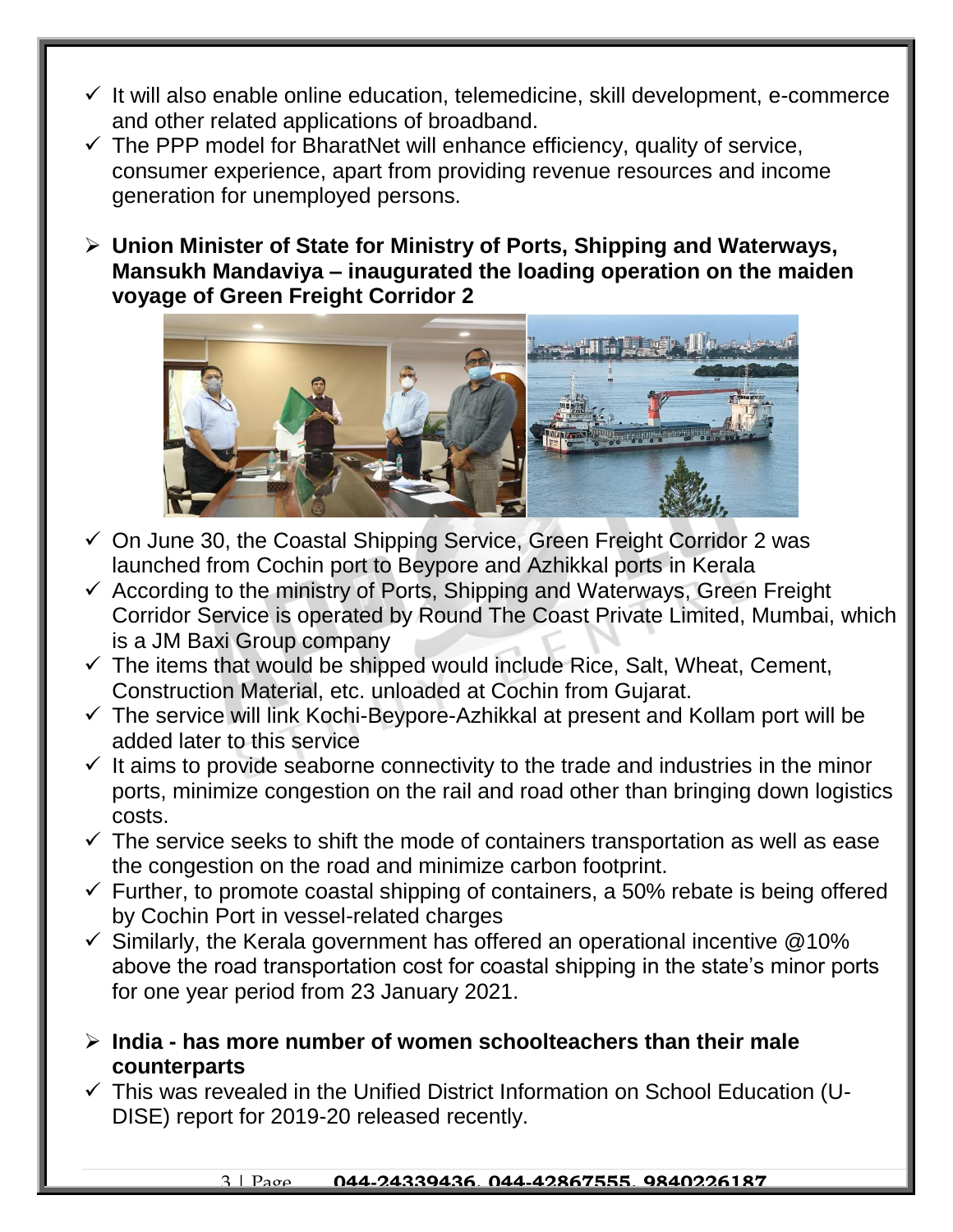- $\checkmark$  It will also enable online education, telemedicine, skill development, e-commerce and other related applications of broadband.
- $\checkmark$  The PPP model for BharatNet will enhance efficiency, quality of service, consumer experience, apart from providing revenue resources and income generation for unemployed persons.
- **Union Minister of State for Ministry of Ports, Shipping and Waterways, Mansukh Mandaviya – inaugurated the loading operation on the maiden voyage of Green Freight Corridor 2**



- $\checkmark$  On June 30, the Coastal Shipping Service, Green Freight Corridor 2 was launched from Cochin port to Beypore and Azhikkal ports in Kerala
- $\checkmark$  According to the ministry of Ports, Shipping and Waterways, Green Freight Corridor Service is operated by Round The Coast Private Limited, Mumbai, which is a JM Baxi Group company
- $\checkmark$  The items that would be shipped would include Rice, Salt, Wheat, Cement, Construction Material, etc. unloaded at Cochin from Gujarat.
- $\checkmark$  The service will link Kochi-Beypore-Azhikkal at present and Kollam port will be added later to this service
- $\checkmark$  It aims to provide seaborne connectivity to the trade and industries in the minor ports, minimize congestion on the rail and road other than bringing down logistics costs.
- $\checkmark$  The service seeks to shift the mode of containers transportation as well as ease the congestion on the road and minimize carbon footprint.
- $\checkmark$  Further, to promote coastal shipping of containers, a 50% rebate is being offered by Cochin Port in vessel-related charges
- $\checkmark$  Similarly, the Kerala government has offered an operational incentive @10% above the road transportation cost for coastal shipping in the state's minor ports for one year period from 23 January 2021.
- **India - has more number of women schoolteachers than their male counterparts**
- $\checkmark$  This was revealed in the Unified District Information on School Education (U-DISE) report for 2019-20 released recently.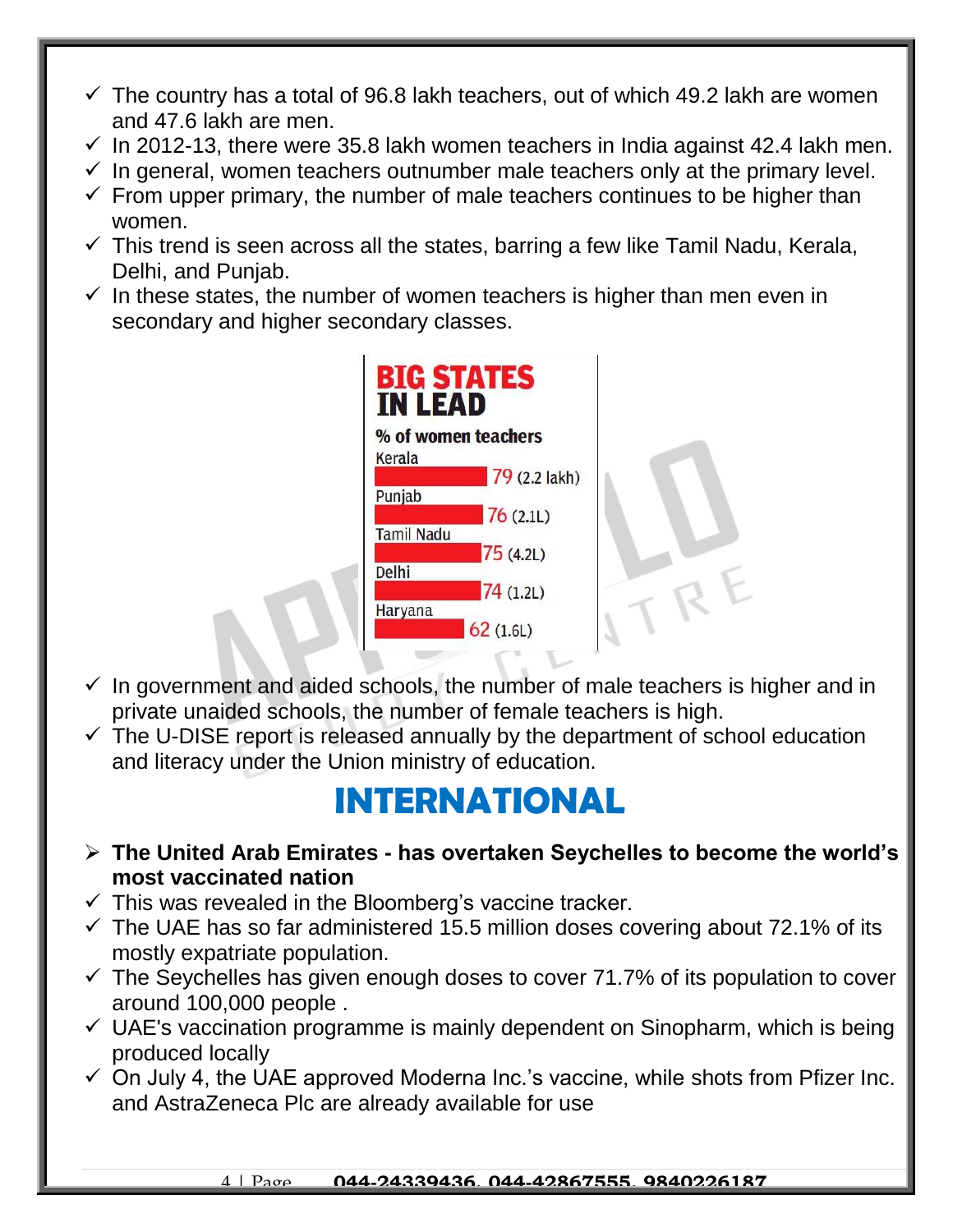- $\checkmark$  The country has a total of 96.8 lakh teachers, out of which 49.2 lakh are women and 47.6 lakh are men.
- $\checkmark$  In 2012-13, there were 35.8 lakh women teachers in India against 42.4 lakh men.
- $\checkmark$  In general, women teachers outnumber male teachers only at the primary level.
- $\checkmark$  From upper primary, the number of male teachers continues to be higher than women.
- $\checkmark$  This trend is seen across all the states, barring a few like Tamil Nadu, Kerala, Delhi, and Punjab.
- $\checkmark$  In these states, the number of women teachers is higher than men even in secondary and higher secondary classes.

| <b>BIG STATES</b><br><b><i>IN LEAD</i></b> |  |
|--------------------------------------------|--|
| % of women teachers                        |  |
| Kerala<br>79 (2.2 lakh)                    |  |
| Punjab<br>76(2.1L)                         |  |
| <b>Tamil Nadu</b><br>75(4.2L)              |  |
| Delhi<br>74 (1.2L)                         |  |
| Haryana<br>62(1.6L)                        |  |
|                                            |  |

- $\checkmark$  In government and aided schools, the number of male teachers is higher and in private unaided schools, the number of female teachers is high.
- $\checkmark$  The U-DISE report is released annually by the department of school education and literacy under the Union ministry of education.

#### **INTERNATIONAL**

- **The United Arab Emirates - has overtaken Seychelles to become the world's most vaccinated nation**
- $\checkmark$  This was revealed in the Bloomberg's vaccine tracker.
- $\checkmark$  The UAE has so far administered 15.5 million doses covering about 72.1% of its mostly expatriate population.
- $\checkmark$  The Seychelles has given enough doses to cover 71.7% of its population to cover around 100,000 people .
- $\checkmark$  UAE's vaccination programme is mainly dependent on Sinopharm, which is being produced locally
- $\checkmark$  On July 4, the UAE approved Moderna Inc.'s vaccine, while shots from Pfizer Inc. and AstraZeneca Plc are already available for use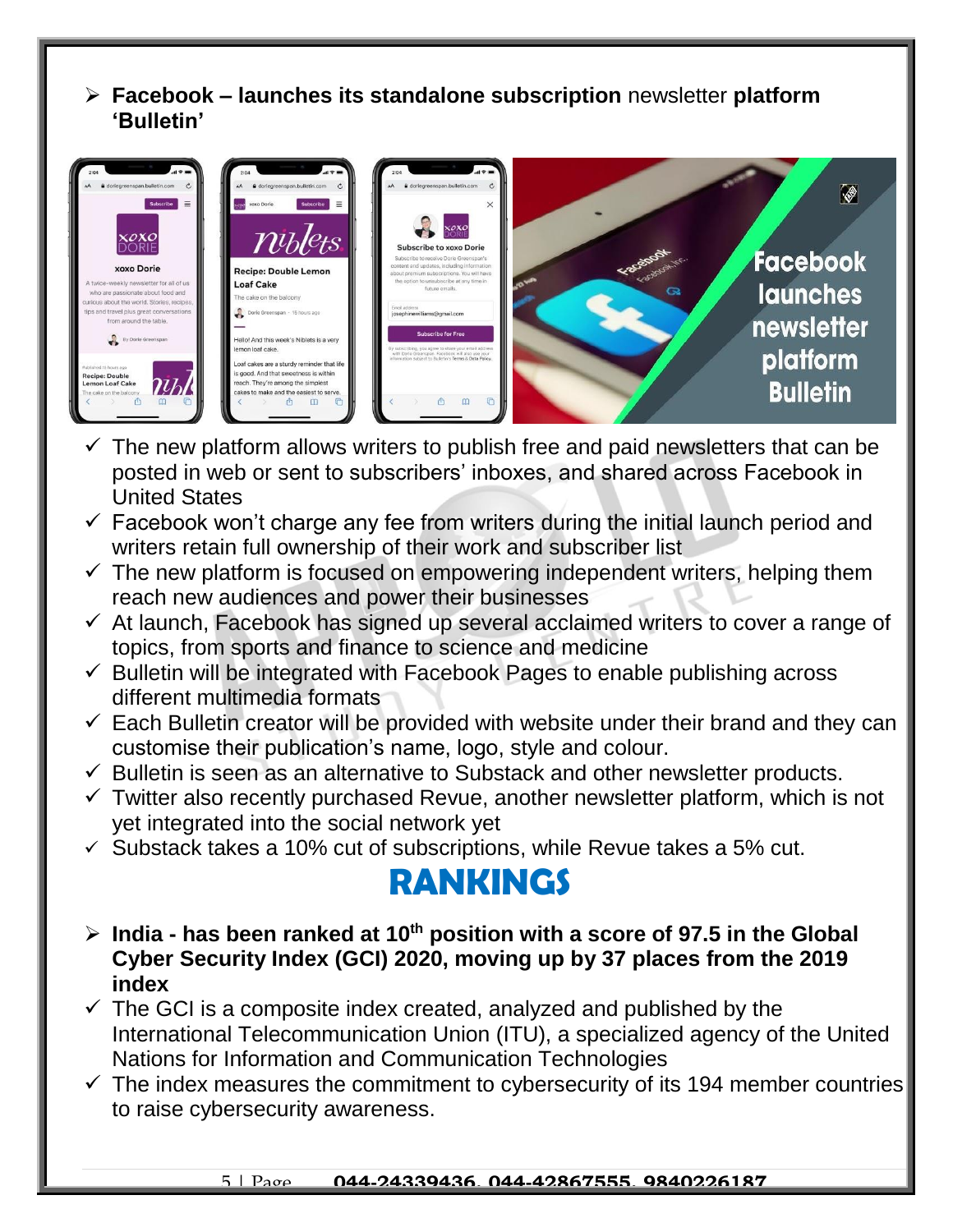**Facebook – launches its standalone subscription** newsletter **platform 'Bulletin'**



- $\checkmark$  The new platform allows writers to publish free and paid newsletters that can be posted in web or sent to subscribers' inboxes, and shared across Facebook in United States
- $\checkmark$  Facebook won't charge any fee from writers during the initial launch period and writers retain full ownership of their work and subscriber list
- $\checkmark$  The new platform is focused on empowering independent writers, helping them reach new audiences and power their businesses
- $\checkmark$  At launch, Facebook has signed up several acclaimed writers to cover a range of topics, from sports and finance to science and medicine
- $\checkmark$  Bulletin will be integrated with Facebook Pages to enable publishing across different multimedia formats
- $\checkmark$  Each Bulletin creator will be provided with website under their brand and they can customise their publication's name, logo, style and colour.
- $\checkmark$  Bulletin is seen as an alternative to Substack and other newsletter products.
- $\checkmark$  Twitter also recently purchased Revue, another newsletter platform, which is not yet integrated into the social network yet
- $\checkmark$  Substack takes a 10% cut of subscriptions, while Revue takes a 5% cut.

### **RANKINGS**

- **India - has been ranked at 10th position with a score of 97.5 in the Global Cyber Security Index (GCI) 2020, moving up by 37 places from the 2019 index**
- $\checkmark$  The GCI is a composite index created, analyzed and published by the International Telecommunication Union (ITU), a specialized agency of the United Nations for Information and Communication Technologies
- $\checkmark$  The index measures the commitment to cybersecurity of its 194 member countries to raise cybersecurity awareness.